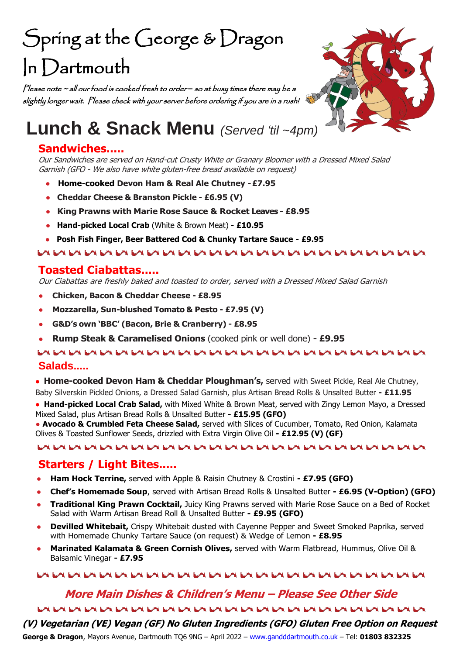# Spring at the George & Dragon In Dartmouth

Please note ~ all our food is cooked fresh to order *–* so at busy times there may be a slightly longer wait. Please check with your server before ordering if you are in a rush!



# **Lunch & Snack Menu** *(Served 'til ~4pm)*

# **Sandwiches.....**

Our Sandwiches are served on Hand-cut Crusty White or Granary Bloomer with a Dressed Mixed Salad Garnish (GFO - We also have white gluten-free bread available on request)

- **Home-cooked Devon Ham & Real Ale Chutney -£7.95**
- **Cheddar Cheese & Branston Pickle - £6.95 (V)**
- **King Prawns with Marie Rose Sauce & Rocket Leaves - £8.95**
- **Hand-picked Local Crab** (White & Brown Meat) **- £10.95**
- **Posh Fish Finger, Beer Battered Cod & Chunky Tartare Sauce - £9.95**

#### 

# **Toasted Ciabattas.....**

Our Ciabattas are freshly baked and toasted to order, served with <sup>a</sup> Dressed Mixed Salad Garnish

- **Chicken, Bacon & Cheddar Cheese - £8.95**
- **Mozzarella, Sun-blushed Tomato & Pesto - £7.95 (V)**
- **G&D's own 'BBC' (Bacon, Brie & Cranberry) - £8.95**
- **Rump Steak & Caramelised Onions** (cooked pink or well done) **- £9.95**

### **EVERY EVERY EVERY EVERY EVERY EVERY EVERY EVERY EVERY EVERY EVERY EVERY EVERY EVERY Salads.....**

• **Home-cooked Devon Ham & Cheddar Ploughman's,** served with Sweet Pickle, Real Ale Chutney, Baby Silverskin Pickled Onions, a Dressed Salad Garnish, plus Artisan Bread Rolls & Unsalted Butter **- £11.95**

• **Hand-picked Local Crab Salad,** with Mixed White & Brown Meat, served with Zingy Lemon Mayo, a Dressed Mixed Salad, plus Artisan Bread Rolls & Unsalted Butter **- £15.95 (GFO)**

● **Avocado & Crumbled Feta Cheese Salad,** served with Slices of Cucumber, Tomato, Red Onion, Kalamata Olives & Toasted Sunflower Seeds, drizzled with Extra Virgin Olive Oil **- £12.95 (V) (GF)**

#### 

# **Starters / Light Bites.....**

- **Ham Hock Terrine,** served with Apple & Raisin Chutney & Crostini **- £7.95 (GFO)**
- **Chef's Homemade Soup**, served with Artisan Bread Rolls & Unsalted Butter **- £6.95 (V-Option) (GFO)**
- **Traditional King Prawn Cocktail,** Juicy King Prawns served with Marie Rose Sauce on a Bed of Rocket Salad with Warm Artisan Bread Roll & Unsalted Butter **- £9.95 (GFO)**
- **Devilled Whitebait,** Crispy Whitebait dusted with Cayenne Pepper and Sweet Smoked Paprika, served with Homemade Chunky Tartare Sauce (on request) & Wedge of Lemon **- £8.95**
- Marinated Kalamata & Green Cornish Olives, served with Warm Flatbread, Hummus, Olive Oil & Balsamic Vinegar **- £7.95**

## EALEALEALEALEALEALEALEALEALEALEA EALEALEALEA EALEALEALEALEALEA EALEALEA EALEALEALEA

# **More Main Dishes & Children's Menu – Please See Other Side**  EVERY EVERY EVERY EVERY EVERY EVERY EVERY EVERY EVERY EVERY EVERY EVERY EVERY EVERY EVERY EVERY

**(V) Vegetarian (VE) Vegan (GF) No Gluten Ingredients (GFO) Gluten Free Option on Request**

**George & Dragon**, Mayors Avenue, Dartmouth TQ6 9NG – April 2022 – [www.gandddartmouth.co.uk](http://www.gandddartmouth.co.uk/) – Tel: **01803 832325**